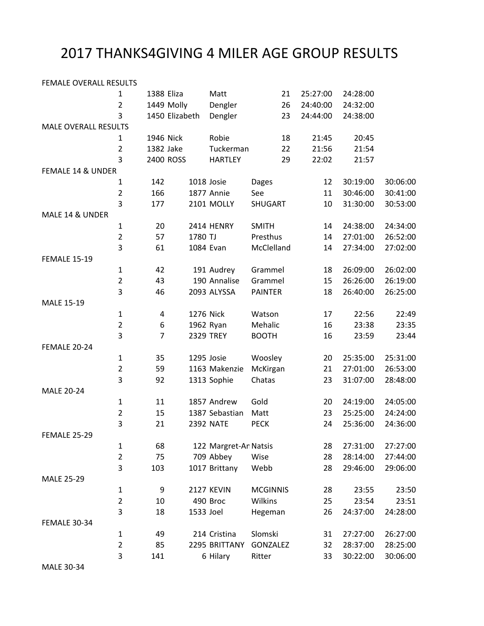## 2017 THANKS4GIVING 4 MILER AGE GROUP RESULTS

| FEMALE OVERALL RESULTS      |                |           |                       |                 |          |          |          |
|-----------------------------|----------------|-----------|-----------------------|-----------------|----------|----------|----------|
| $\mathbf{1}$                | 1388 Eliza     |           | Matt                  | 21              | 25:27:00 | 24:28:00 |          |
| $\overline{2}$              | 1449 Molly     |           | Dengler               | 26              | 24:40:00 | 24:32:00 |          |
| 3                           | 1450 Elizabeth |           | Dengler               | 23              | 24:44:00 | 24:38:00 |          |
| <b>MALE OVERALL RESULTS</b> |                |           |                       |                 |          |          |          |
| 1                           | 1946 Nick      |           | Robie                 | 18              | 21:45    | 20:45    |          |
| $\overline{2}$              | 1382 Jake      |           | Tuckerman             | 22              | 21:56    | 21:54    |          |
| 3                           | 2400 ROSS      |           | <b>HARTLEY</b>        | 29              | 22:02    | 21:57    |          |
| FEMALE 14 & UNDER           |                |           |                       |                 |          |          |          |
| $\mathbf{1}$                | 142            |           | 1018 Josie            | <b>Dages</b>    | 12       | 30:19:00 | 30:06:00 |
| $\overline{2}$              | 166            |           | 1877 Annie            | See             | 11       | 30:46:00 | 30:41:00 |
| 3                           | 177            |           | 2101 MOLLY            | SHUGART         | 10       | 31:30:00 | 30:53:00 |
| MALE 14 & UNDER             |                |           |                       |                 |          |          |          |
| $\mathbf 1$                 | 20             |           | 2414 HENRY            | <b>SMITH</b>    | 14       | 24:38:00 | 24:34:00 |
| $\overline{c}$              | 57             | 1780 TJ   |                       | Presthus        | 14       | 27:01:00 | 26:52:00 |
| 3                           | 61             |           | 1084 Evan             | McClelland      | 14       | 27:34:00 | 27:02:00 |
| <b>FEMALE 15-19</b>         |                |           |                       |                 |          |          |          |
| $\mathbf{1}$                | 42             |           | 191 Audrey            | Grammel         | 18       | 26:09:00 | 26:02:00 |
| $\overline{2}$              | 43             |           | 190 Annalise          | Grammel         | 15       | 26:26:00 | 26:19:00 |
| 3                           | 46             |           | 2093 ALYSSA           | <b>PAINTER</b>  | 18       | 26:40:00 | 26:25:00 |
| MALE 15-19                  |                |           |                       |                 |          |          |          |
| $\mathbf 1$                 | 4              |           | 1276 Nick             | Watson          | 17       | 22:56    | 22:49    |
| $\overline{2}$              | 6              |           | 1962 Ryan             | Mehalic         | 16       | 23:38    | 23:35    |
| 3                           | $\overline{7}$ |           | <b>2329 TREY</b>      | <b>BOOTH</b>    | 16       | 23:59    | 23:44    |
| FEMALE 20-24                |                |           |                       |                 |          |          |          |
| $\mathbf{1}$                | 35             |           | 1295 Josie            | Woosley         | 20       | 25:35:00 | 25:31:00 |
| $\overline{2}$              | 59             |           | 1163 Makenzie         | McKirgan        | 21       | 27:01:00 | 26:53:00 |
| 3                           | 92             |           | 1313 Sophie           | Chatas          | 23       | 31:07:00 | 28:48:00 |
| <b>MALE 20-24</b>           |                |           |                       |                 |          |          |          |
| $\mathbf 1$                 | 11             |           | 1857 Andrew           | Gold            | 20       | 24:19:00 | 24:05:00 |
| $\overline{2}$              | 15             |           | 1387 Sebastian        | Matt            | 23       | 25:25:00 | 24:24:00 |
| 3                           | 21             |           | <b>2392 NATE</b>      | <b>PECK</b>     | 24       | 25:36:00 | 24:36:00 |
| <b>FEMALE 25-29</b>         |                |           |                       |                 |          |          |          |
| $\mathbf 1$                 | 68             |           | 122 Margret-An Natsis |                 | 28       | 27:31:00 | 27:27:00 |
| $\overline{2}$              | 75             |           | 709 Abbey             | Wise            | 28       | 28:14:00 | 27:44:00 |
| 3                           | 103            |           | 1017 Brittany         | Webb            | 28       | 29:46:00 | 29:06:00 |
| <b>MALE 25-29</b>           |                |           |                       |                 |          |          |          |
| $\mathbf 1$                 | 9              |           | 2127 KEVIN            | <b>MCGINNIS</b> | 28       | 23:55    | 23:50    |
| $\overline{2}$              | 10             |           | 490 Broc              | Wilkins         | 25       | 23:54    | 23:51    |
| 3                           | 18             | 1533 Joel |                       | Hegeman         | 26       | 24:37:00 | 24:28:00 |
| <b>FEMALE 30-34</b>         |                |           |                       |                 |          |          |          |
| $\mathbf 1$                 | 49             |           | 214 Cristina          | Slomski         | 31       | 27:27:00 | 26:27:00 |
| $\overline{2}$              | 85             |           | 2295 BRITTANY         | GONZALEZ        | 32       | 28:37:00 | 28:25:00 |
| 3                           | 141            |           | 6 Hilary              | Ritter          | 33       | 30:22:00 | 30:06:00 |
|                             |                |           |                       |                 |          |          |          |

MALE 30-34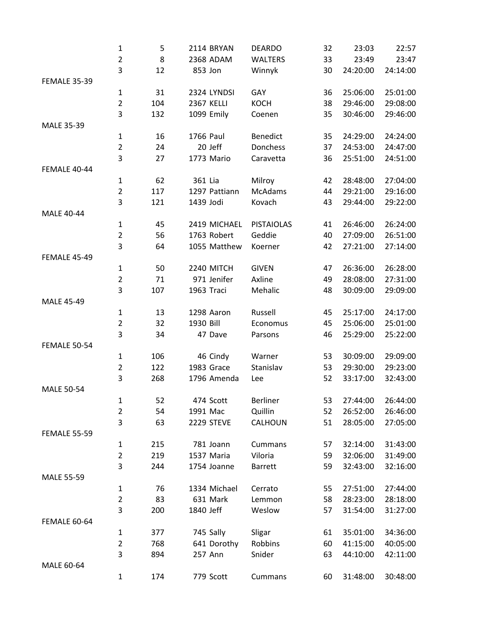|                     | $\mathbf{1}$        | 5   | 2114 BRYAN        | <b>DEARDO</b>     | 32 | 23:03    | 22:57    |
|---------------------|---------------------|-----|-------------------|-------------------|----|----------|----------|
|                     | $\overline{2}$      | 8   | 2368 ADAM         | <b>WALTERS</b>    | 33 | 23:49    | 23:47    |
|                     | 3                   | 12  | 853 Jon           | Winnyk            | 30 | 24:20:00 | 24:14:00 |
| <b>FEMALE 35-39</b> |                     |     |                   |                   |    |          |          |
|                     | $\mathbf 1$         | 31  | 2324 LYNDSI       | GAY               | 36 | 25:06:00 | 25:01:00 |
|                     | $\overline{2}$      | 104 | <b>2367 KELLI</b> | <b>KOCH</b>       | 38 | 29:46:00 | 29:08:00 |
|                     | 3                   | 132 | 1099 Emily        | Coenen            | 35 | 30:46:00 | 29:46:00 |
| MALE 35-39          |                     |     |                   |                   |    |          |          |
|                     | $\mathbf{1}$        | 16  | 1766 Paul         | <b>Benedict</b>   | 35 | 24:29:00 | 24:24:00 |
|                     | $\overline{2}$      | 24  | 20 Jeff           | Donchess          | 37 | 24:53:00 | 24:47:00 |
|                     | 3                   | 27  | 1773 Mario        | Caravetta         | 36 | 25:51:00 | 24:51:00 |
| FEMALE 40-44        |                     |     |                   |                   |    |          |          |
|                     | $\mathbf{1}$        | 62  | 361 Lia           | Milroy            | 42 | 28:48:00 | 27:04:00 |
|                     | $\overline{2}$      | 117 | 1297 Pattiann     | <b>McAdams</b>    | 44 | 29:21:00 | 29:16:00 |
|                     | 3                   | 121 | 1439 Jodi         | Kovach            | 43 | 29:44:00 | 29:22:00 |
| <b>MALE 40-44</b>   |                     |     |                   |                   |    |          |          |
|                     | $\mathbf{1}$        | 45  | 2419 MICHAEL      | <b>PISTAIOLAS</b> | 41 | 26:46:00 | 26:24:00 |
|                     | $\overline{2}$      | 56  | 1763 Robert       | Geddie            | 40 | 27:09:00 | 26:51:00 |
|                     | 3                   | 64  | 1055 Matthew      | Koerner           | 42 | 27:21:00 | 27:14:00 |
| <b>FEMALE 45-49</b> |                     |     |                   |                   |    |          |          |
|                     | $\mathbf{1}$        | 50  | 2240 MITCH        | <b>GIVEN</b>      | 47 | 26:36:00 | 26:28:00 |
|                     | $\overline{2}$      | 71  | 971 Jenifer       | Axline            | 49 | 28:08:00 | 27:31:00 |
|                     | 3                   | 107 | 1963 Traci        | Mehalic           | 48 | 30:09:00 | 29:09:00 |
| <b>MALE 45-49</b>   |                     |     |                   |                   |    |          |          |
|                     | $\mathbf 1$         | 13  | 1298 Aaron        | Russell           | 45 | 25:17:00 | 24:17:00 |
|                     | $\overline{2}$      | 32  | 1930 Bill         | Economus          | 45 | 25:06:00 | 25:01:00 |
|                     | 3                   | 34  | 47 Dave           | Parsons           | 46 | 25:29:00 | 25:22:00 |
| <b>FEMALE 50-54</b> |                     |     |                   |                   |    |          |          |
|                     | $\mathbf 1$         | 106 | 46 Cindy          | Warner            | 53 | 30:09:00 | 29:09:00 |
|                     | $\overline{2}$      | 122 | 1983 Grace        | Stanislav         | 53 | 29:30:00 | 29:23:00 |
|                     | 3                   | 268 | 1796 Amenda       | Lee               | 52 | 33:17:00 | 32:43:00 |
| <b>MALE 50-54</b>   |                     |     |                   |                   |    |          |          |
|                     |                     |     |                   |                   |    |          |          |
|                     | 1                   | 52  | 474 Scott         | <b>Berliner</b>   | 53 | 27:44:00 | 26:44:00 |
|                     | $\overline{2}$<br>3 | 54  | 1991 Mac          | Quillin           | 52 | 26:52:00 | 26:46:00 |
|                     |                     | 63  | 2229 STEVE        | CALHOUN           | 51 | 28:05:00 | 27:05:00 |
| <b>FEMALE 55-59</b> |                     |     |                   |                   |    |          |          |
|                     | $\mathbf{1}$        | 215 | 781 Joann         | Cummans           | 57 | 32:14:00 | 31:43:00 |
|                     | $\overline{2}$      | 219 | 1537 Maria        | Viloria           | 59 | 32:06:00 | 31:49:00 |
|                     | 3                   | 244 | 1754 Joanne       | <b>Barrett</b>    | 59 | 32:43:00 | 32:16:00 |
| <b>MALE 55-59</b>   |                     |     |                   |                   |    |          |          |
|                     | $\mathbf{1}$        | 76  | 1334 Michael      | Cerrato           | 55 | 27:51:00 | 27:44:00 |
|                     | $\overline{2}$      | 83  | 631 Mark          | Lemmon            | 58 | 28:23:00 | 28:18:00 |
|                     | 3                   | 200 | 1840 Jeff         | Weslow            | 57 | 31:54:00 | 31:27:00 |
| <b>FEMALE 60-64</b> |                     |     |                   |                   |    |          |          |
|                     | $\mathbf{1}$        | 377 | 745 Sally         | Sligar            | 61 | 35:01:00 | 34:36:00 |
|                     | $\overline{2}$      | 768 | 641 Dorothy       | Robbins           | 60 | 41:15:00 | 40:05:00 |
|                     | 3                   | 894 | 257 Ann           | Snider            | 63 | 44:10:00 | 42:11:00 |
| MALE 60-64          |                     |     |                   |                   |    |          |          |
|                     | 1                   | 174 | 779 Scott         | Cummans           | 60 | 31:48:00 | 30:48:00 |